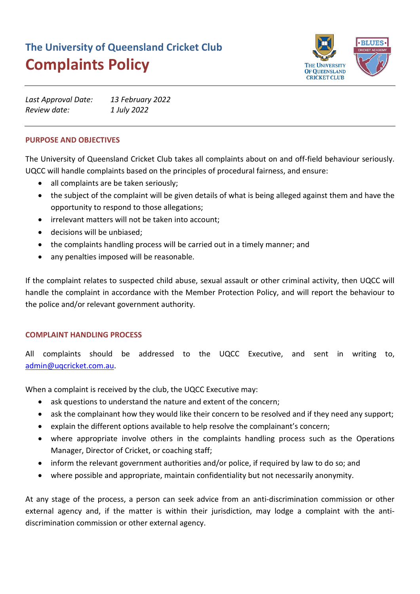# **The University of Queensland Cricket Club Complaints Policy**



| Last Approval Date: | 13 February 2022 |
|---------------------|------------------|
| Review date:        | 1 July 2022      |

# **PURPOSE AND OBJECTIVES**

The University of Queensland Cricket Club takes all complaints about on and off-field behaviour seriously. UQCC will handle complaints based on the principles of procedural fairness, and ensure:

- all complaints are be taken seriously;
- the subject of the complaint will be given details of what is being alleged against them and have the opportunity to respond to those allegations;
- irrelevant matters will not be taken into account;
- decisions will be unbiased;
- the complaints handling process will be carried out in a timely manner; and
- any penalties imposed will be reasonable.

If the complaint relates to suspected child abuse, sexual assault or other criminal activity, then UQCC will handle the complaint in accordance with the Member Protection Policy, and will report the behaviour to the police and/or relevant government authority.

### **COMPLAINT HANDLING PROCESS**

All complaints should be addressed to the UQCC Executive, and sent in writing to, [admin@uqcricket.com.au.](mailto:admin@uqcricket.com.au)

When a complaint is received by the club, the UQCC Executive may:

- ask questions to understand the nature and extent of the concern;
- ask the complainant how they would like their concern to be resolved and if they need any support;
- explain the different options available to help resolve the complainant's concern;
- where appropriate involve others in the complaints handling process such as the Operations Manager, Director of Cricket, or coaching staff;
- inform the relevant government authorities and/or police, if required by law to do so; and
- where possible and appropriate, maintain confidentiality but not necessarily anonymity.

At any stage of the process, a person can seek advice from an anti-discrimination commission or other external agency and, if the matter is within their jurisdiction, may lodge a complaint with the antidiscrimination commission or other external agency.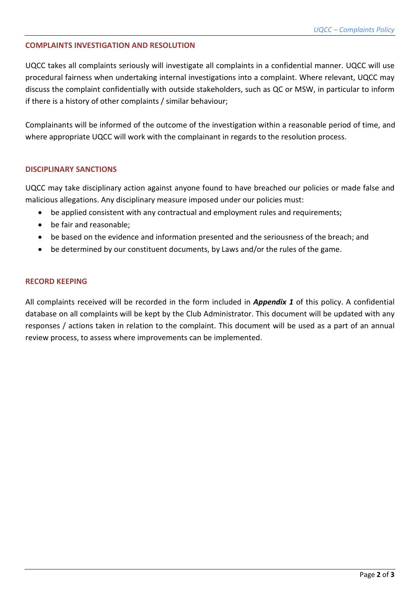#### **COMPLAINTS INVESTIGATION AND RESOLUTION**

UQCC takes all complaints seriously will investigate all complaints in a confidential manner. UQCC will use procedural fairness when undertaking internal investigations into a complaint. Where relevant, UQCC may discuss the complaint confidentially with outside stakeholders, such as QC or MSW, in particular to inform if there is a history of other complaints / similar behaviour;

Complainants will be informed of the outcome of the investigation within a reasonable period of time, and where appropriate UQCC will work with the complainant in regards to the resolution process.

#### **DISCIPLINARY SANCTIONS**

UQCC may take disciplinary action against anyone found to have breached our policies or made false and malicious allegations. Any disciplinary measure imposed under our policies must:

- be applied consistent with any contractual and employment rules and requirements;
- be fair and reasonable;
- be based on the evidence and information presented and the seriousness of the breach; and
- be determined by our constituent documents, by Laws and/or the rules of the game.

#### **RECORD KEEPING**

All complaints received will be recorded in the form included in *Appendix 1* of this policy. A confidential database on all complaints will be kept by the Club Administrator. This document will be updated with any responses / actions taken in relation to the complaint. This document will be used as a part of an annual review process, to assess where improvements can be implemented.